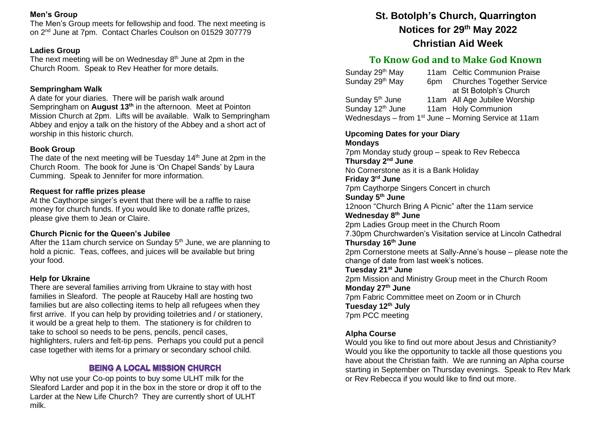# **Men's Group**

The Men's Group meets for fellowship and food. The next meeting is on 2nd June at 7pm. Contact Charles Coulson on 01529 307779

### **Ladies Group**

The next meeting will be on Wednesday 8<sup>th</sup> June at 2pm in the Church Room. Speak to Rev Heather for more details.

## **Sempringham Walk**

A date for your diaries. There will be parish walk around Sempringham on **August 13th** in the afternoon. Meet at Pointon Mission Church at 2pm. Lifts will be available. Walk to Sempringham Abbey and enjoy a talk on the history of the Abbey and a short act of worship in this historic church.

### **Book Group**

The date of the next meeting will be Tuesday  $14<sup>th</sup>$  June at 2pm in the Church Room. The book for June is 'On Chapel Sands' by Laura Cumming. Speak to Jennifer for more information.

### **Request for raffle prizes please**

At the Caythorpe singer's event that there will be a raffle to raise money for church funds. If you would like to donate raffle prizes, please give them to Jean or Claire.

### **Church Picnic for the Queen's Jubilee**

After the 11am church service on Sunday  $5<sup>th</sup>$  June, we are planning to hold a picnic. Teas, coffees, and juices will be available but bring your food.

#### **Help for Ukraine**

There are several families arriving from Ukraine to stay with host families in Sleaford. The people at Rauceby Hall are hosting two families but are also collecting items to help all refugees when they first arrive. If you can help by providing toiletries and / or stationery, it would be a great help to them. The stationery is for children to take to school so needs to be pens, pencils, pencil cases, highlighters, rulers and felt-tip pens. Perhaps you could put a pencil case together with items for a primary or secondary school child.

# **BEING A LOCAL MISSION CHURCH**

Why not use your Co-op points to buy some ULHT milk for the Sleaford Larder and pop it in the box in the store or drop it off to the Larder at the New Life Church? They are currently short of ULHT milk.

# **St. Botolph's Church, Quarrington Notices for 29th May 2022 Christian Aid Week**

# **To Know God and to Make God Known**

| Sunday 29th May              |     | 11am Celtic Communion Praise                                     |
|------------------------------|-----|------------------------------------------------------------------|
| Sunday 29th May              | 6pm | <b>Churches Together Service</b>                                 |
|                              |     | at St Botolph's Church                                           |
| Sunday 5 <sup>th</sup> June  |     | 11am All Age Jubilee Worship                                     |
| Sunday 12 <sup>th</sup> June |     | 11am Holy Communion                                              |
|                              |     | Wednesdays – from 1 <sup>st</sup> June – Morning Service at 11am |

### **Upcoming Dates for your Diary Mondays** 7pm Monday study group – speak to Rev Rebecca **Thursday 2nd June** No Cornerstone as it is a Bank Holiday **Friday 3rd June** 7pm Caythorpe Singers Concert in church **Sunday 5th June** 12noon "Church Bring A Picnic" after the 11am service **Wednesday 8th June** 2pm Ladies Group meet in the Church Room 7.30pm Churchwarden's Visitation service at Lincoln Cathedral **Thursday 16th June** 2pm Cornerstone meets at Sally-Anne's house – please note the change of date from last week's notices. **Tuesday 21st June** 2pm Mission and Ministry Group meet in the Church Room **Monday 27th June** 7pm Fabric Committee meet on Zoom or in Church **Tuesday 12th July** 7pm PCC meeting

# **Alpha Course**

Would you like to find out more about Jesus and Christianity? Would you like the opportunity to tackle all those questions you have about the Christian faith. We are running an Alpha course starting in September on Thursday evenings. Speak to Rev Mark or Rev Rebecca if you would like to find out more.